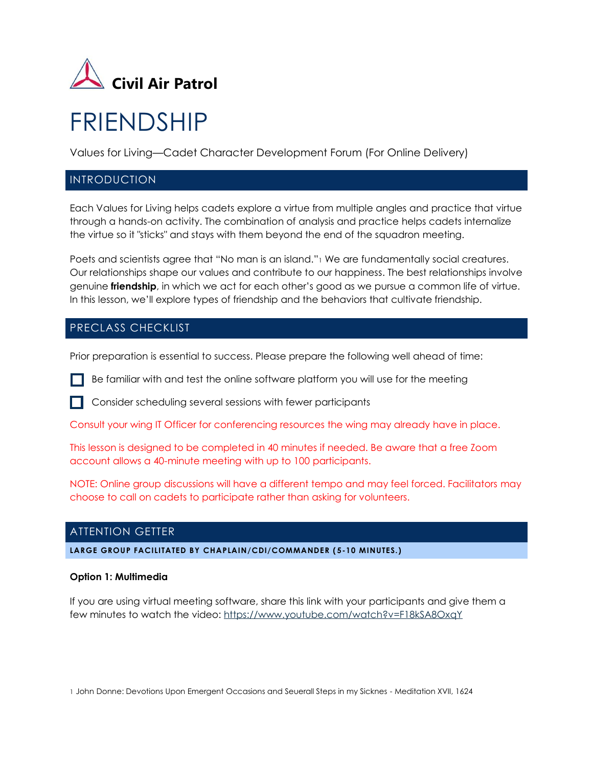

# FRIENDSHIP

Values for Living—Cadet Character Development Forum (For Online Delivery)

## **INTRODUCTION**

Each Values for Living helps cadets explore a virtue from multiple angles and practice that virtue through a hands-on activity. The combination of analysis and practice helps cadets internalize the virtue so it "sticks" and stays with them beyond the end of the squadron meeting.

Poets and scientists agree that "No man is an island." We are fundamentally social creatures. Our relationships shape our values and contribute to our happiness. The best relationships involve genuine **friendship**, in which we act for each other's good as we pursue a common life of virtue. In this lesson, we'll explore types of friendship and the behaviors that cultivate friendship.

## PRECLASS CHECKLIST

Prior preparation is essential to success. Please prepare the following well ahead of time:

Be familiar with and test the online software platform you will use for the meeting



Consult your wing IT Officer for conferencing resources the wing may already have in place.

This lesson is designed to be completed in 40 minutes if needed. Be aware that a free Zoom account allows a 40-minute meeting with up to 100 participants.

NOTE: Online group discussions will have a different tempo and may feel forced. Facilitators may choose to call on cadets to participate rather than asking for volunteers.

## ATTENTION GETTER

**LARGE GROUP FACILITATED BY CHAPLAIN/CDI/COMMANDER ( 5-10 MINUTES.)**

#### **Option 1: Multimedia**

If you are using virtual meeting software, share this link with your participants and give them a few minutes to watch the video:<https://www.youtube.com/watch?v=F18kSA8OxqY>

1 John Donne: Devotions Upon Emergent Occasions and Seuerall Steps in my Sicknes - Meditation XVII, 1624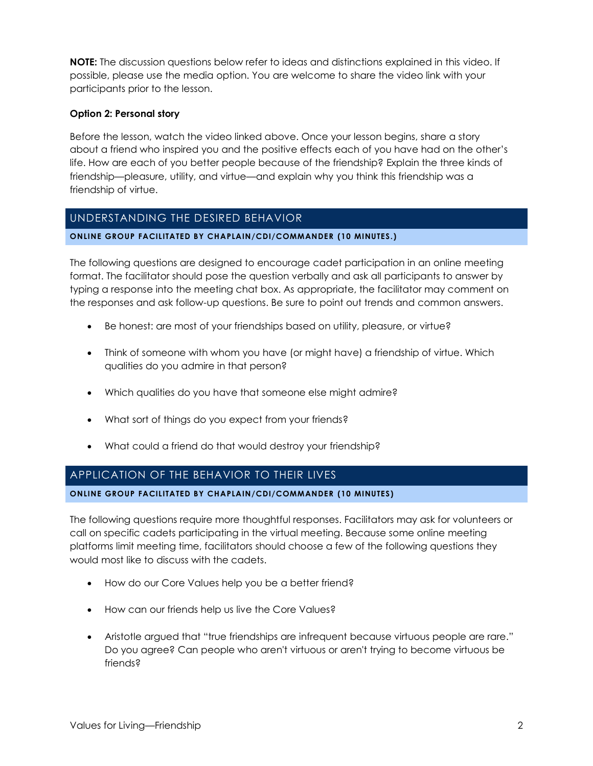**NOTE:** The discussion questions below refer to ideas and distinctions explained in this video. If possible, please use the media option. You are welcome to share the video link with your participants prior to the lesson.

#### **Option 2: Personal story**

Before the lesson, watch the video linked above. Once your lesson begins, share a story about a friend who inspired you and the positive effects each of you have had on the other's life. How are each of you better people because of the friendship? Explain the three kinds of friendship—pleasure, utility, and virtue—and explain why you think this friendship was a friendship of virtue.

## UNDERSTANDING THE DESIRED BEHAVIOR

#### **ONLINE GROUP FACILITATED BY CHAPLAIN/CDI/COMMANDER (10 MINUTES.)**

The following questions are designed to encourage cadet participation in an online meeting format. The facilitator should pose the question verbally and ask all participants to answer by typing a response into the meeting chat box. As appropriate, the facilitator may comment on the responses and ask follow-up questions. Be sure to point out trends and common answers.

- Be honest: are most of your friendships based on utility, pleasure, or virtue?
- Think of someone with whom you have (or might have) a friendship of virtue. Which qualities do you admire in that person?
- Which qualities do you have that someone else might admire?
- What sort of things do you expect from your friends?
- What could a friend do that would destroy your friendship?

## APPLICATION OF THE BEHAVIOR TO THEIR LIVES

**ONLINE GROUP FACILITATED BY CHAPLAIN/CDI/COMMANDER (10 MINUTES)**

The following questions require more thoughtful responses. Facilitators may ask for volunteers or call on specific cadets participating in the virtual meeting. Because some online meeting platforms limit meeting time, facilitators should choose a few of the following questions they would most like to discuss with the cadets.

- How do our Core Values help you be a better friend?
- How can our friends help us live the Core Values?
- Aristotle argued that "true friendships are infrequent because virtuous people are rare." Do you agree? Can people who aren't virtuous or aren't trying to become virtuous be friends?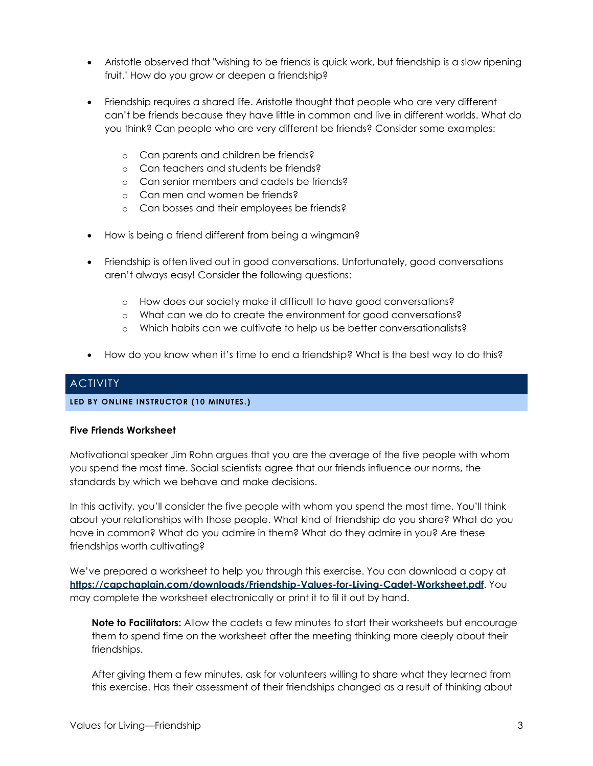- Aristotle observed that "wishing to be friends is quick work, but friendship is a slow ripening fruit." How do you grow or deepen a friendship?
- Friendship requires a shared life. Aristotle thought that people who are very different can't be friends because they have little in common and live in different worlds. What do you think? Can people who are very different be friends? Consider some examples:
	- o Can parents and children be friends?
	- o Can teachers and students be friends?
	- o Can senior members and cadets be friends?
	- o Can men and women be friends?
	- o Can bosses and their employees be friends?
- How is being a friend different from being a wingman?
- Friendship is often lived out in good conversations. Unfortunately, good conversations aren't always easy! Consider the following questions:
	- o How does our society make it difficult to have good conversations?
	- o What can we do to create the environment for good conversations?
	- o Which habits can we cultivate to help us be better conversationalists?
- How do you know when it's time to end a friendship? What is the best way to do this?

## ACTIVITY

#### **LED BY ONLINE INSTRUCTOR (10 MINUTES.)**

#### **Five Friends Worksheet**

Motivational speaker Jim Rohn argues that you are the average of the five people with whom you spend the most time. Social scientists agree that our friends influence our norms, the standards by which we behave and make decisions.

In this activity, you'll consider the five people with whom you spend the most time. You'll think about your relationships with those people. What kind of friendship do you share? What do you have in common? What do you admire in them? What do they admire in you? Are these friendships worth cultivating?

We've prepared a worksheet to help you through this exercise. You can download a copy at **<https://capchaplain.com/downloads/Friendship-Values-for-Living-Cadet-Worksheet.pdf>**. You may complete the worksheet electronically or print it to fil it out by hand.

**Note to Facilitators:** Allow the cadets a few minutes to start their worksheets but encourage them to spend time on the worksheet after the meeting thinking more deeply about their friendships.

After giving them a few minutes, ask for volunteers willing to share what they learned from this exercise. Has their assessment of their friendships changed as a result of thinking about